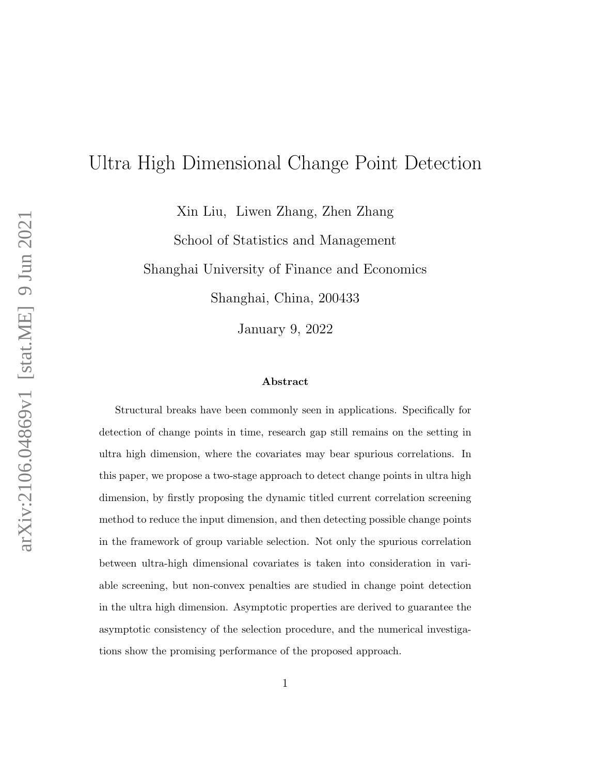# Ultra High Dimensional Change Point Detection

Xin Liu, Liwen Zhang, Zhen Zhang

School of Statistics and Management

Shanghai University of Finance and Economics

Shanghai, China, 200433

January 9, 2022

#### Abstract

Structural breaks have been commonly seen in applications. Specifically for detection of change points in time, research gap still remains on the setting in ultra high dimension, where the covariates may bear spurious correlations. In this paper, we propose a two-stage approach to detect change points in ultra high dimension, by firstly proposing the dynamic titled current correlation screening method to reduce the input dimension, and then detecting possible change points in the framework of group variable selection. Not only the spurious correlation between ultra-high dimensional covariates is taken into consideration in variable screening, but non-convex penalties are studied in change point detection in the ultra high dimension. Asymptotic properties are derived to guarantee the asymptotic consistency of the selection procedure, and the numerical investigations show the promising performance of the proposed approach.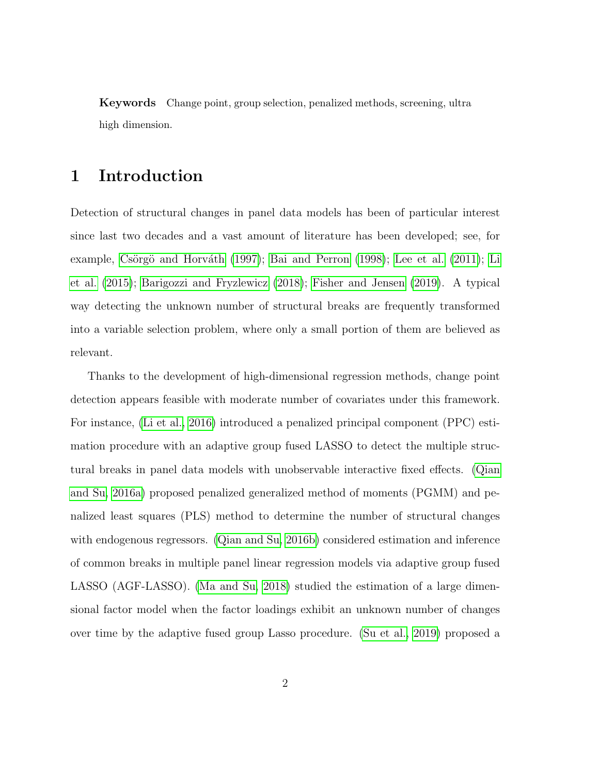Keywords Change point, group selection, penalized methods, screening, ultra high dimension.

## 1 Introduction

Detection of structural changes in panel data models has been of particular interest since last two decades and a vast amount of literature has been developed; see, for example, Csörgö and Horváth [\(1997\)](#page-20-0); [Bai and Perron](#page-20-1) [\(1998\)](#page-20-1); [Lee et al.](#page-22-0) [\(2011\)](#page-22-0); [Li](#page-22-1) [et al.](#page-22-1) [\(2015\)](#page-22-1); [Barigozzi and Fryzlewicz](#page-20-2) [\(2018\)](#page-20-2); [Fisher and Jensen](#page-21-0) [\(2019\)](#page-21-0). A typical way detecting the unknown number of structural breaks are frequently transformed into a variable selection problem, where only a small portion of them are believed as relevant.

Thanks to the development of high-dimensional regression methods, change point detection appears feasible with moderate number of covariates under this framework. For instance, [\(Li et al., 2016\)](#page-22-2) introduced a penalized principal component (PPC) estimation procedure with an adaptive group fused LASSO to detect the multiple structural breaks in panel data models with unobservable interactive fixed effects. [\(Qian](#page-23-0) [and Su, 2016a\)](#page-23-0) proposed penalized generalized method of moments (PGMM) and penalized least squares (PLS) method to determine the number of structural changes with endogenous regressors. [\(Qian and Su, 2016b\)](#page-23-1) considered estimation and inference of common breaks in multiple panel linear regression models via adaptive group fused LASSO (AGF-LASSO). [\(Ma and Su, 2018\)](#page-23-2) studied the estimation of a large dimensional factor model when the factor loadings exhibit an unknown number of changes over time by the adaptive fused group Lasso procedure. [\(Su et al., 2019\)](#page-23-3) proposed a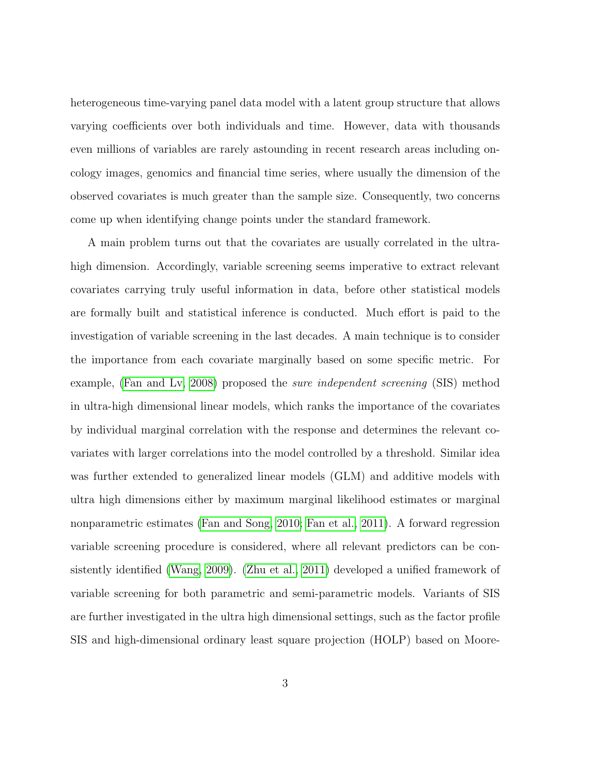heterogeneous time-varying panel data model with a latent group structure that allows varying coefficients over both individuals and time. However, data with thousands even millions of variables are rarely astounding in recent research areas including oncology images, genomics and financial time series, where usually the dimension of the observed covariates is much greater than the sample size. Consequently, two concerns come up when identifying change points under the standard framework.

A main problem turns out that the covariates are usually correlated in the ultrahigh dimension. Accordingly, variable screening seems imperative to extract relevant covariates carrying truly useful information in data, before other statistical models are formally built and statistical inference is conducted. Much effort is paid to the investigation of variable screening in the last decades. A main technique is to consider the importance from each covariate marginally based on some specific metric. For example, [\(Fan and Lv, 2008\)](#page-21-1) proposed the sure independent screening (SIS) method in ultra-high dimensional linear models, which ranks the importance of the covariates by individual marginal correlation with the response and determines the relevant covariates with larger correlations into the model controlled by a threshold. Similar idea was further extended to generalized linear models (GLM) and additive models with ultra high dimensions either by maximum marginal likelihood estimates or marginal nonparametric estimates [\(Fan and Song, 2010;](#page-21-2) [Fan et al., 2011\)](#page-20-3). A forward regression variable screening procedure is considered, where all relevant predictors can be consistently identified [\(Wang, 2009\)](#page-23-4). [\(Zhu et al., 2011\)](#page-24-0) developed a unified framework of variable screening for both parametric and semi-parametric models. Variants of SIS are further investigated in the ultra high dimensional settings, such as the factor profile SIS and high-dimensional ordinary least square projection (HOLP) based on Moore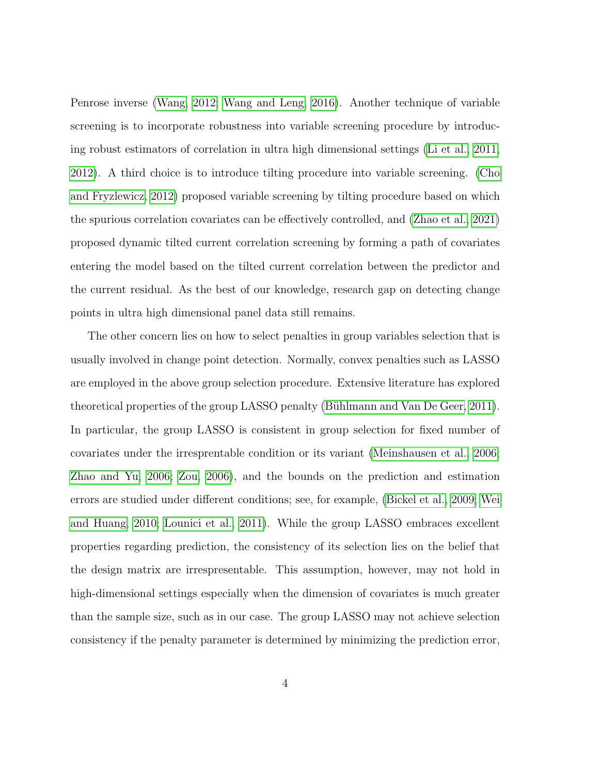Penrose inverse [\(Wang, 2012;](#page-23-5) [Wang and Leng, 2016\)](#page-23-6). Another technique of variable screening is to incorporate robustness into variable screening procedure by introducing robust estimators of correlation in ultra high dimensional settings [\(Li et al., 2011,](#page-22-3) [2012\)](#page-22-4). A third choice is to introduce tilting procedure into variable screening. [\(Cho](#page-20-4) [and Fryzlewicz, 2012\)](#page-20-4) proposed variable screening by tilting procedure based on which the spurious correlation covariates can be effectively controlled, and [\(Zhao et al., 2021\)](#page-24-1) proposed dynamic tilted current correlation screening by forming a path of covariates entering the model based on the tilted current correlation between the predictor and the current residual. As the best of our knowledge, research gap on detecting change points in ultra high dimensional panel data still remains.

The other concern lies on how to select penalties in group variables selection that is usually involved in change point detection. Normally, convex penalties such as LASSO are employed in the above group selection procedure. Extensive literature has explored theoretical properties of the group LASSO penalty (Bühlmann and Van De Geer, 2011). In particular, the group LASSO is consistent in group selection for fixed number of covariates under the irresprentable condition or its variant [\(Meinshausen et al., 2006;](#page-23-7) [Zhao and Yu, 2006;](#page-24-2) [Zou, 2006\)](#page-24-3), and the bounds on the prediction and estimation errors are studied under different conditions; see, for example, [\(Bickel et al., 2009;](#page-20-6) [Wei](#page-23-8) [and Huang, 2010;](#page-23-8) [Lounici et al., 2011\)](#page-22-5). While the group LASSO embraces excellent properties regarding prediction, the consistency of its selection lies on the belief that the design matrix are irrespresentable. This assumption, however, may not hold in high-dimensional settings especially when the dimension of covariates is much greater than the sample size, such as in our case. The group LASSO may not achieve selection consistency if the penalty parameter is determined by minimizing the prediction error,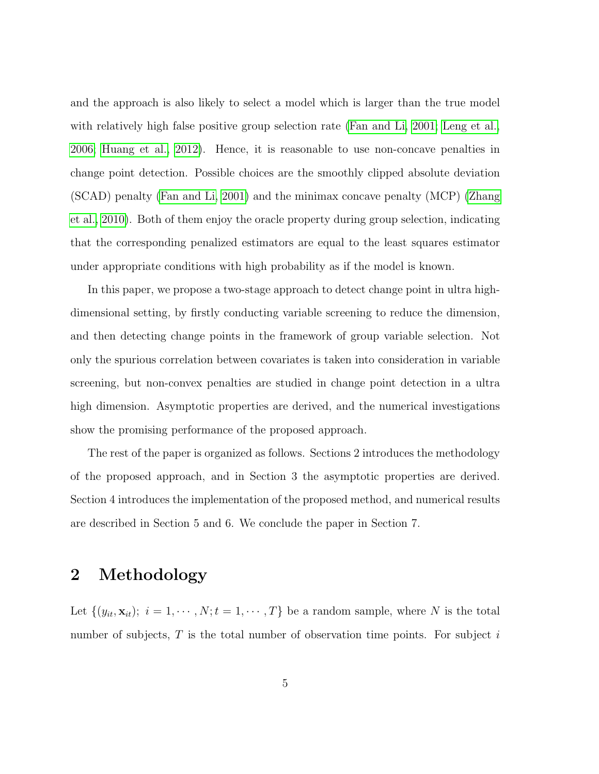and the approach is also likely to select a model which is larger than the true model with relatively high false positive group selection rate [\(Fan and Li, 2001;](#page-21-3) [Leng et al.,](#page-22-6) [2006;](#page-22-6) [Huang et al., 2012\)](#page-21-4). Hence, it is reasonable to use non-concave penalties in change point detection. Possible choices are the smoothly clipped absolute deviation (SCAD) penalty [\(Fan and Li, 2001\)](#page-21-3) and the minimax concave penalty (MCP) [\(Zhang](#page-24-4) [et al., 2010\)](#page-24-4). Both of them enjoy the oracle property during group selection, indicating that the corresponding penalized estimators are equal to the least squares estimator under appropriate conditions with high probability as if the model is known.

In this paper, we propose a two-stage approach to detect change point in ultra highdimensional setting, by firstly conducting variable screening to reduce the dimension, and then detecting change points in the framework of group variable selection. Not only the spurious correlation between covariates is taken into consideration in variable screening, but non-convex penalties are studied in change point detection in a ultra high dimension. Asymptotic properties are derived, and the numerical investigations show the promising performance of the proposed approach.

The rest of the paper is organized as follows. Sections 2 introduces the methodology of the proposed approach, and in Section 3 the asymptotic properties are derived. Section 4 introduces the implementation of the proposed method, and numerical results are described in Section 5 and 6. We conclude the paper in Section 7.

# 2 Methodology

Let  $\{(y_{it}, \mathbf{x}_{it})\colon i = 1, \cdots, N; t = 1, \cdots, T\}$  be a random sample, where N is the total number of subjects,  $T$  is the total number of observation time points. For subject  $i$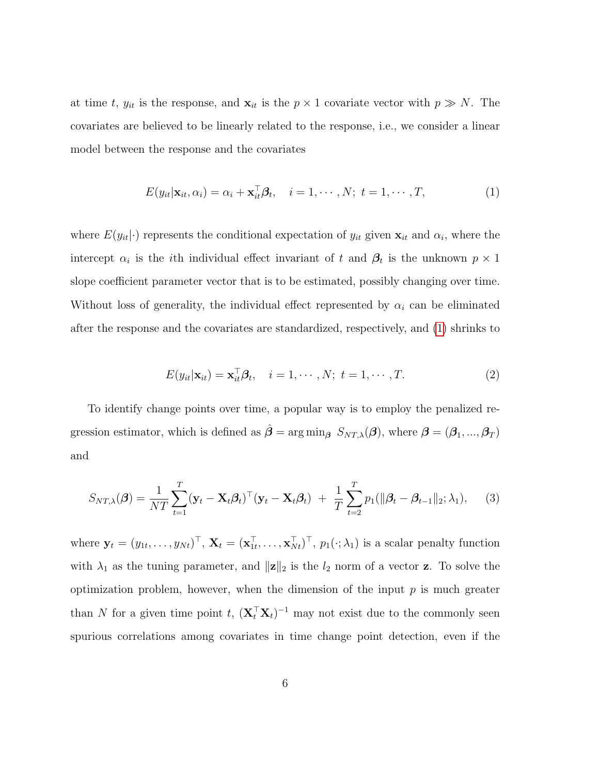at time t,  $y_{it}$  is the response, and  $\mathbf{x}_{it}$  is the  $p \times 1$  covariate vector with  $p \gg N$ . The covariates are believed to be linearly related to the response, i.e., we consider a linear model between the response and the covariates

<span id="page-5-0"></span>
$$
E(y_{it}|\mathbf{x}_{it}, \alpha_i) = \alpha_i + \mathbf{x}_{it}^{\top} \boldsymbol{\beta}_t, \quad i = 1, \cdots, N; \ t = 1, \cdots, T,
$$
\n(1)

where  $E(y_{it}|\cdot)$  represents the conditional expectation of  $y_{it}$  given  $\mathbf{x}_{it}$  and  $\alpha_i$ , where the intercept  $\alpha_i$  is the *i*th individual effect invariant of t and  $\beta_t$  is the unknown  $p \times 1$ slope coefficient parameter vector that is to be estimated, possibly changing over time. Without loss of generality, the individual effect represented by  $\alpha_i$  can be eliminated after the response and the covariates are standardized, respectively, and [\(1\)](#page-5-0) shrinks to

$$
E(y_{it}|\mathbf{x}_{it}) = \mathbf{x}_{it}^{\top} \boldsymbol{\beta}_t, \quad i = 1, \cdots, N; \ t = 1, \cdots, T.
$$
 (2)

<span id="page-5-2"></span><span id="page-5-1"></span>To identify change points over time, a popular way is to employ the penalized regression estimator, which is defined as  $\hat{\beta} = \arg \min_{\beta} S_{NT,\lambda}(\beta)$ , where  $\beta = (\beta_1, ..., \beta_T)$ and

$$
S_{NT,\lambda}(\boldsymbol{\beta}) = \frac{1}{NT} \sum_{t=1}^{T} (\mathbf{y}_t - \mathbf{X}_t \boldsymbol{\beta}_t)^{\top} (\mathbf{y}_t - \mathbf{X}_t \boldsymbol{\beta}_t) + \frac{1}{T} \sum_{t=2}^{T} p_1(\|\boldsymbol{\beta}_t - \boldsymbol{\beta}_{t-1}\|_2; \lambda_1), \quad (3)
$$

where  $\mathbf{y}_t = (y_{1t}, \dots, y_{Nt})^\top$ ,  $\mathbf{X}_t = (\mathbf{x}_{1t}^\top, \dots, \mathbf{x}_{Nt}^\top)^\top$ ,  $p_1(\cdot; \lambda_1)$  is a scalar penalty function with  $\lambda_1$  as the tuning parameter, and  $\|\mathbf{z}\|_2$  is the  $l_2$  norm of a vector **z**. To solve the optimization problem, however, when the dimension of the input  $p$  is much greater than N for a given time point t,  $(\mathbf{X}_t^{\top} \mathbf{X}_t)^{-1}$  may not exist due to the commonly seen spurious correlations among covariates in time change point detection, even if the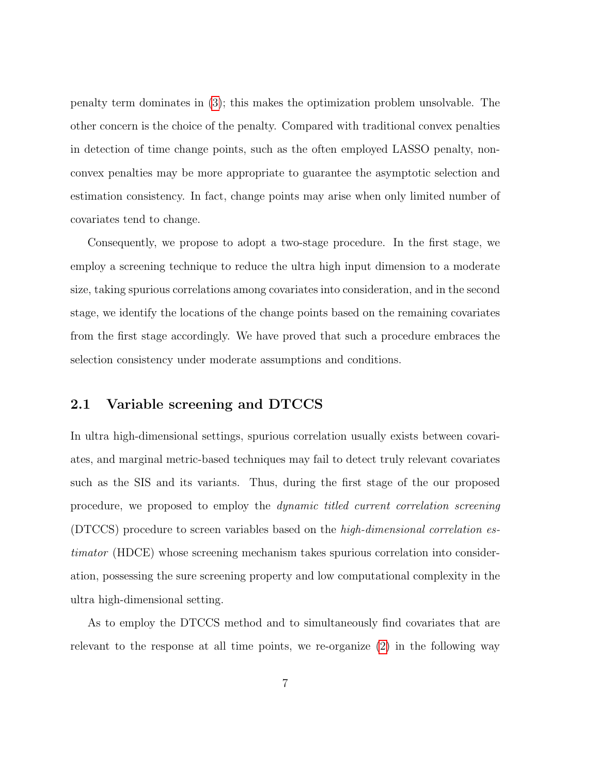penalty term dominates in [\(3\)](#page-5-1); this makes the optimization problem unsolvable. The other concern is the choice of the penalty. Compared with traditional convex penalties in detection of time change points, such as the often employed LASSO penalty, nonconvex penalties may be more appropriate to guarantee the asymptotic selection and estimation consistency. In fact, change points may arise when only limited number of covariates tend to change.

Consequently, we propose to adopt a two-stage procedure. In the first stage, we employ a screening technique to reduce the ultra high input dimension to a moderate size, taking spurious correlations among covariates into consideration, and in the second stage, we identify the locations of the change points based on the remaining covariates from the first stage accordingly. We have proved that such a procedure embraces the selection consistency under moderate assumptions and conditions.

### 2.1 Variable screening and DTCCS

In ultra high-dimensional settings, spurious correlation usually exists between covariates, and marginal metric-based techniques may fail to detect truly relevant covariates such as the SIS and its variants. Thus, during the first stage of the our proposed procedure, we proposed to employ the dynamic titled current correlation screening (DTCCS) procedure to screen variables based on the high-dimensional correlation estimator (HDCE) whose screening mechanism takes spurious correlation into consideration, possessing the sure screening property and low computational complexity in the ultra high-dimensional setting.

As to employ the DTCCS method and to simultaneously find covariates that are relevant to the response at all time points, we re-organize [\(2\)](#page-5-2) in the following way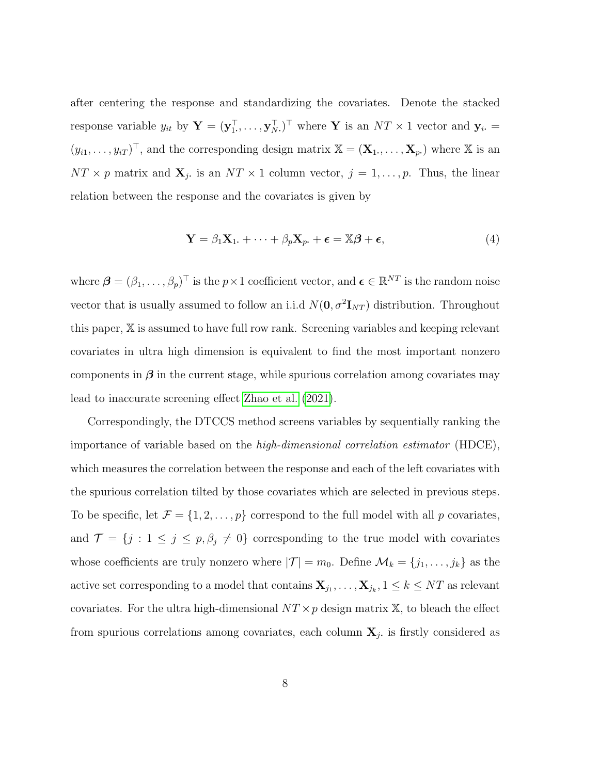after centering the response and standardizing the covariates. Denote the stacked response variable  $y_{it}$  by  $\mathbf{Y} = (\mathbf{y}_{1}^{\top}, \dots, \mathbf{y}_{N}^{\top})^{\top}$  where Y is an  $NT \times 1$  vector and  $\mathbf{y}_{i}$ .  $(y_{i1},...,y_{iT})^{\top}$ , and the corresponding design matrix  $\mathbb{X} = (\mathbf{X}_1,...,\mathbf{X}_p)$  where  $\mathbb{X}$  is an  $NT \times p$  matrix and  $\mathbf{X}_j$ , is an  $NT \times 1$  column vector,  $j = 1, \ldots, p$ . Thus, the linear relation between the response and the covariates is given by

$$
\mathbf{Y} = \beta_1 \mathbf{X}_1 + \dots + \beta_p \mathbf{X}_p + \boldsymbol{\epsilon} = \mathbb{X}\boldsymbol{\beta} + \boldsymbol{\epsilon},\tag{4}
$$

where  $\boldsymbol{\beta} = (\beta_1, \dots, \beta_p)^\top$  is the  $p \times 1$  coefficient vector, and  $\boldsymbol{\epsilon} \in \mathbb{R}^{NT}$  is the random noise vector that is usually assumed to follow an i.i.d  $N(\mathbf{0}, \sigma^2 \mathbf{I}_{NT})$  distribution. Throughout this paper, X is assumed to have full row rank. Screening variables and keeping relevant covariates in ultra high dimension is equivalent to find the most important nonzero components in  $\beta$  in the current stage, while spurious correlation among covariates may lead to inaccurate screening effect [Zhao et al.](#page-24-1) [\(2021\)](#page-24-1).

Correspondingly, the DTCCS method screens variables by sequentially ranking the importance of variable based on the high-dimensional correlation estimator (HDCE), which measures the correlation between the response and each of the left covariates with the spurious correlation tilted by those covariates which are selected in previous steps. To be specific, let  $\mathcal{F} = \{1, 2, \ldots, p\}$  correspond to the full model with all p covariates, and  $\mathcal{T} = \{j : 1 \leq j \leq p, \beta_j \neq 0\}$  corresponding to the true model with covariates whose coefficients are truly nonzero where  $|\mathcal{T}| = m_0$ . Define  $\mathcal{M}_k = \{j_1, \ldots, j_k\}$  as the active set corresponding to a model that contains  $\mathbf{X}_{j_1}, \ldots, \mathbf{X}_{j_k}, 1 \leq k \leq NT$  as relevant covariates. For the ultra high-dimensional  $NT \times p$  design matrix X, to bleach the effect from spurious correlations among covariates, each column  $X_j$ , is firstly considered as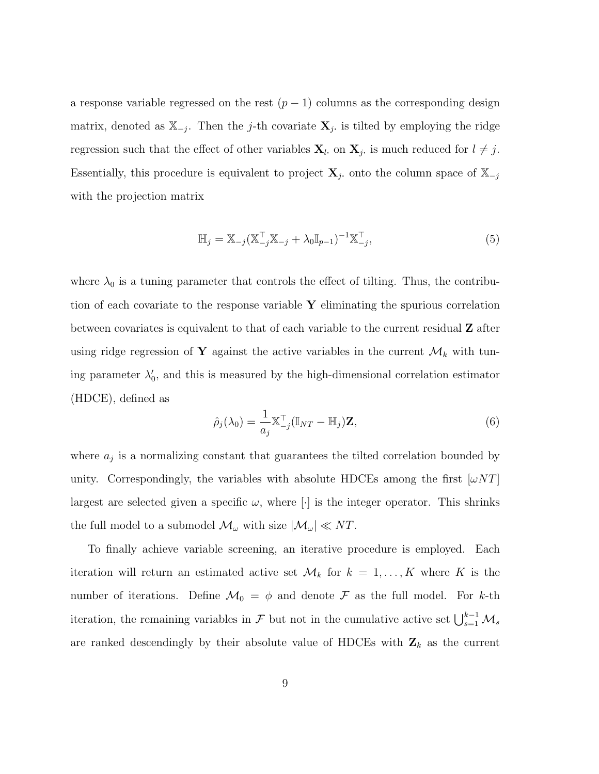a response variable regressed on the rest  $(p-1)$  columns as the corresponding design matrix, denoted as  $\mathbb{X}_{-j}$ . Then the j-th covariate  $\mathbf{X}_{j}$  is tilted by employing the ridge regression such that the effect of other variables  $\mathbf{X}_l$ , on  $\mathbf{X}_j$ , is much reduced for  $l \neq j$ . Essentially, this procedure is equivalent to project  $\mathbf{X}_j$ , onto the column space of  $\mathbb{X}_{-j}$ with the projection matrix

$$
\mathbb{H}_{j} = \mathbb{X}_{-j} (\mathbb{X}_{-j}^{\top} \mathbb{X}_{-j} + \lambda_{0} \mathbb{I}_{p-1})^{-1} \mathbb{X}_{-j}^{\top},
$$
\n(5)

where  $\lambda_0$  is a tuning parameter that controls the effect of tilting. Thus, the contribution of each covariate to the response variable  $Y$  eliminating the spurious correlation between covariates is equivalent to that of each variable to the current residual Z after using ridge regression of Y against the active variables in the current  $\mathcal{M}_k$  with tuning parameter  $\lambda'_0$ , and this is measured by the high-dimensional correlation estimator (HDCE), defined as

$$
\hat{\rho}_j(\lambda_0) = \frac{1}{a_j} \mathbb{X}_{-j}^\top (\mathbb{I}_{NT} - \mathbb{H}_j) \mathbf{Z},\tag{6}
$$

where  $a_j$  is a normalizing constant that guarantees the tilted correlation bounded by unity. Correspondingly, the variables with absolute HDCEs among the first  $\omega NT$ largest are selected given a specific  $\omega$ , where [ii] is the integer operator. This shrinks the full model to a submodel  $\mathcal{M}_{\omega}$  with size  $|\mathcal{M}_{\omega}| \ll NT$ .

To finally achieve variable screening, an iterative procedure is employed. Each iteration will return an estimated active set  $\mathcal{M}_k$  for  $k = 1, ..., K$  where K is the number of iterations. Define  $\mathcal{M}_0 = \phi$  and denote  $\mathcal F$  as the full model. For k-th iteration, the remaining variables in  $\mathcal F$  but not in the cumulative active set  $\bigcup_{s=1}^{k-1} \mathcal M_s$ are ranked descendingly by their absolute value of HDCEs with  $\mathbf{Z}_k$  as the current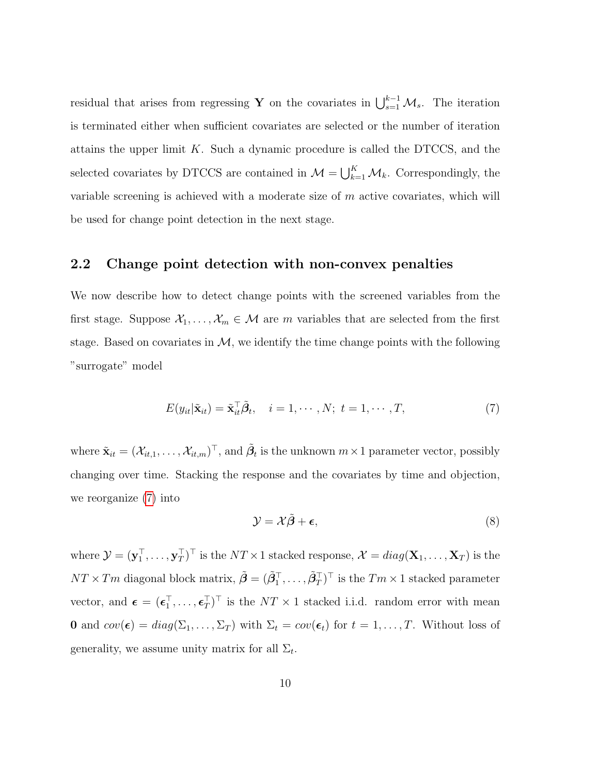residual that arises from regressing Y on the covariates in  $\bigcup_{s=1}^{k-1} \mathcal{M}_s$ . The iteration is terminated either when sufficient covariates are selected or the number of iteration attains the upper limit  $K$ . Such a dynamic procedure is called the DTCCS, and the selected covariates by DTCCS are contained in  $\mathcal{M} = \bigcup_{k=1}^{K} \mathcal{M}_k$ . Correspondingly, the variable screening is achieved with a moderate size of  $m$  active covariates, which will be used for change point detection in the next stage.

### 2.2 Change point detection with non-convex penalties

We now describe how to detect change points with the screened variables from the first stage. Suppose  $X_1, \ldots, X_m \in \mathcal{M}$  are m variables that are selected from the first stage. Based on covariates in  $M$ , we identify the time change points with the following "surrogate" model

<span id="page-9-0"></span>
$$
E(y_{it}|\tilde{\mathbf{x}}_{it}) = \tilde{\mathbf{x}}_{it}^{\top} \tilde{\boldsymbol{\beta}}_{t}, \quad i = 1, \cdots, N; \ t = 1, \cdots, T,
$$
\n
$$
(7)
$$

where  $\tilde{\mathbf{x}}_{it} = (\mathcal{X}_{it,1}, \ldots, \mathcal{X}_{it,m})^\top$ , and  $\tilde{\boldsymbol{\beta}}_t$  is the unknown  $m \times 1$  parameter vector, possibly changing over time. Stacking the response and the covariates by time and objection, we reorganize [\(7\)](#page-9-0) into

<span id="page-9-1"></span>
$$
\mathcal{Y} = \mathcal{X}\tilde{\beta} + \epsilon,\tag{8}
$$

where  $\mathcal{Y} = (\mathbf{y}_1^\top, \dots, \mathbf{y}_T^\top)^\top$  is the  $NT \times 1$  stacked response,  $\mathcal{X} = diag(\mathbf{X}_1, \dots, \mathbf{X}_T)$  is the  $NT \times Tm$  diagonal block matrix,  $\tilde{\boldsymbol{\beta}} = (\tilde{\beta}_1^\top, \dots, \tilde{\beta}_T^\top)^\top$  is the  $Tm \times 1$  stacked parameter vector, and  $\boldsymbol{\epsilon} = (\boldsymbol{\epsilon}_1^{\top}, \dots, \boldsymbol{\epsilon}_T^{\top})^{\top}$  is the  $NT \times 1$  stacked i.i.d. random error with mean **0** and  $cov(\epsilon) = diag(\Sigma_1, ..., \Sigma_T)$  with  $\Sigma_t = cov(\epsilon_t)$  for  $t = 1, ..., T$ . Without loss of generality, we assume unity matrix for all  $\Sigma_t$ .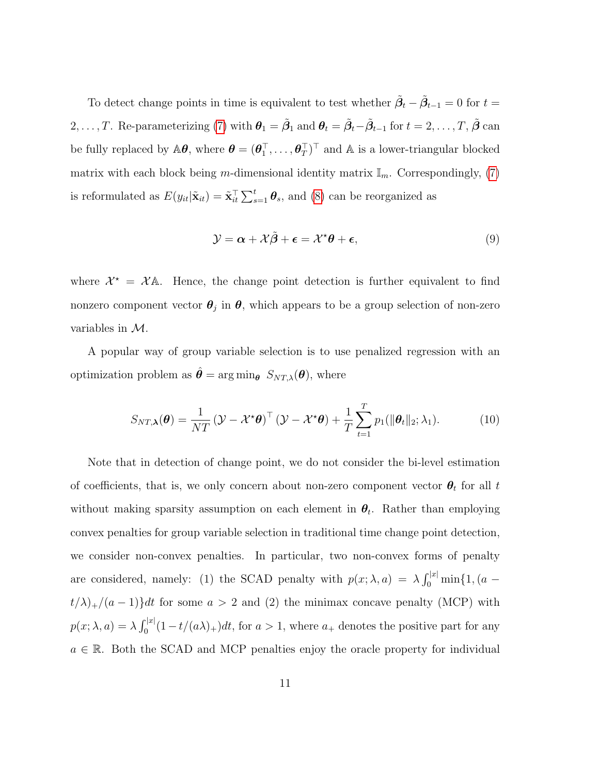To detect change points in time is equivalent to test whether  $\tilde{\beta}_t - \tilde{\beta}_{t-1} = 0$  for  $t =$ 2, . . . , T. Re-parameterizing [\(7\)](#page-9-0) with  $\theta_1 = \tilde{\beta}_1$  and  $\theta_t = \tilde{\beta}_t - \tilde{\beta}_{t-1}$  for  $t = 2, \ldots, T$  ,  $\tilde{\beta}$  can be fully replaced by  $\mathbb{A}\theta$ , where  $\theta = (\theta_1^\top, \dots, \theta_T^\top)^\top$  and  $\mathbb{A}$  is a lower-triangular blocked matrix with each block being m-dimensional identity matrix  $\mathbb{I}_m$ . Correspondingly, [\(7\)](#page-9-0) is reformulated as  $E(y_{it}|\tilde{\mathbf{x}}_{it}) = \tilde{\mathbf{x}}_{it}^{\top} \sum_{s=1}^{t} \boldsymbol{\theta}_s$ , and [\(8\)](#page-9-1) can be reorganized as

$$
\mathcal{Y} = \alpha + \mathcal{X}\tilde{\beta} + \epsilon = \mathcal{X}^*\theta + \epsilon,\tag{9}
$$

where  $\mathcal{X}^* = \mathcal{X}$ A. Hence, the change point detection is further equivalent to find nonzero component vector  $\theta_j$  in  $\theta$ , which appears to be a group selection of non-zero variables in M.

A popular way of group variable selection is to use penalized regression with an optimization problem as  $\hat{\theta} = \arg \min_{\theta} S_{NT,\lambda}(\theta)$ , where

$$
S_{NT,\boldsymbol{\lambda}}(\boldsymbol{\theta}) = \frac{1}{NT} \left( \boldsymbol{\mathcal{Y}} - \boldsymbol{\mathcal{X}}^{\star} \boldsymbol{\theta} \right)^{\top} \left( \boldsymbol{\mathcal{Y}} - \boldsymbol{\mathcal{X}}^{\star} \boldsymbol{\theta} \right) + \frac{1}{T} \sum_{t=1}^{T} p_1(\|\boldsymbol{\theta}_t\|_2; \lambda_1). \tag{10}
$$

Note that in detection of change point, we do not consider the bi-level estimation of coefficients, that is, we only concern about non-zero component vector  $\theta_t$  for all t without making sparsity assumption on each element in  $\theta_t$ . Rather than employing convex penalties for group variable selection in traditional time change point detection, we consider non-convex penalties. In particular, two non-convex forms of penalty are considered, namely: (1) the SCAD penalty with  $p(x; \lambda, a) = \lambda \int_0^{|x|} \min\{1, (a$  $t/\lambda$ <sub>+</sub>/(a - 1)}dt for some a > 2 and (2) the minimax concave penalty (MCP) with  $p(x; \lambda, a) = \lambda \int_0^{|x|} (1 - t/(a\lambda)_+) dt$ , for  $a > 1$ , where  $a_+$  denotes the positive part for any  $a \in \mathbb{R}$ . Both the SCAD and MCP penalties enjoy the oracle property for individual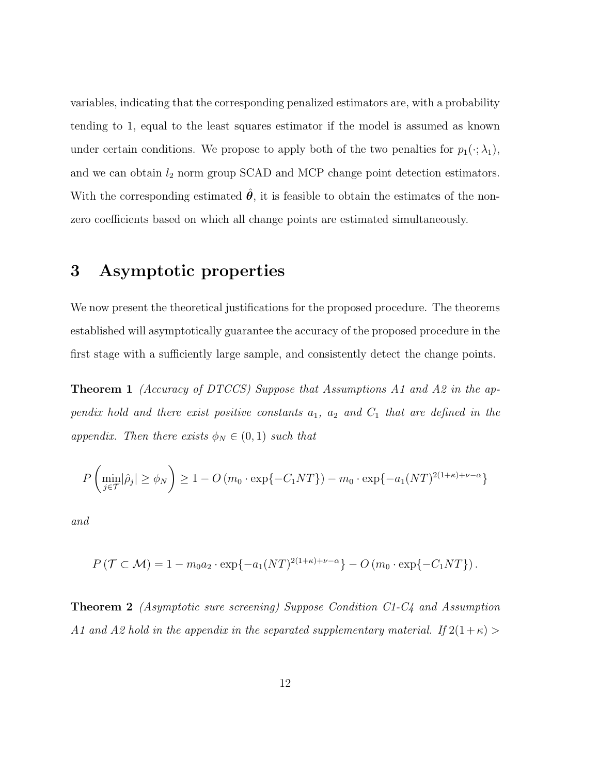variables, indicating that the corresponding penalized estimators are, with a probability tending to 1, equal to the least squares estimator if the model is assumed as known under certain conditions. We propose to apply both of the two penalties for  $p_1(\cdot; \lambda_1)$ , and we can obtain  $l_2$  norm group SCAD and MCP change point detection estimators. With the corresponding estimated  $\hat{\theta}$ , it is feasible to obtain the estimates of the nonzero coefficients based on which all change points are estimated simultaneously.

### 3 Asymptotic properties

We now present the theoretical justifications for the proposed procedure. The theorems established will asymptotically guarantee the accuracy of the proposed procedure in the first stage with a sufficiently large sample, and consistently detect the change points.

**Theorem 1** (Accuracy of DTCCS) Suppose that Assumptions A1 and A2 in the appendix hold and there exist positive constants  $a_1$ ,  $a_2$  and  $C_1$  that are defined in the appendix. Then there exists  $\phi_N \in (0,1)$  such that

$$
P\left(\min_{j\in\mathcal{T}}|\hat{\rho}_j| \ge \phi_N\right) \ge 1 - O\left(m_0 \cdot \exp\{-C_1 NT\}\right) - m_0 \cdot \exp\{-a_1 (NT)^{2(1+\kappa)+\nu-\alpha}\}\
$$

and

$$
P(\mathcal{T} \subset \mathcal{M}) = 1 - m_0 a_2 \cdot \exp\{-a_1 (NT)^{2(1+\kappa)+\nu-\alpha}\} - O(m_0 \cdot \exp\{-C_1 NT\}).
$$

Theorem 2 (Asymptotic sure screening) Suppose Condition C1-C4 and Assumption A1 and A2 hold in the appendix in the separated supplementary material. If  $2(1+\kappa)$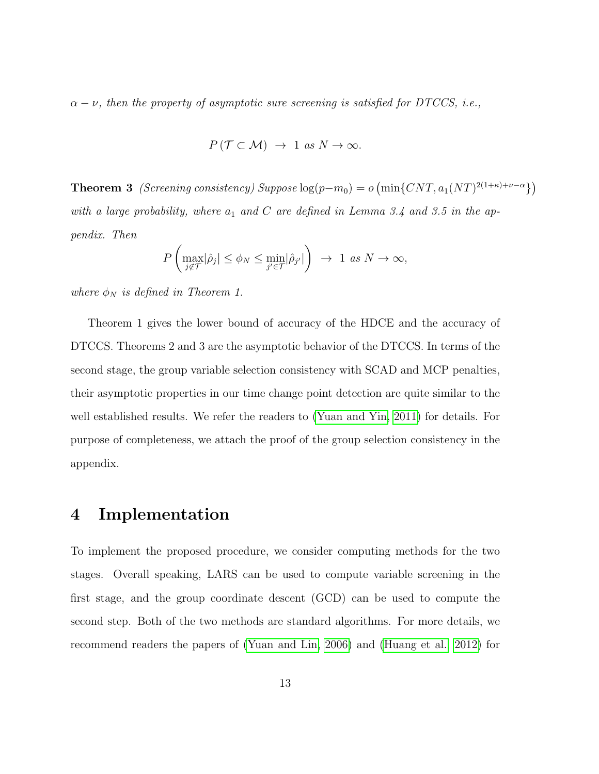$\alpha - \nu$ , then the property of asymptotic sure screening is satisfied for DTCCS, i.e.,

$$
P(T \subset M) \rightarrow 1 \text{ as } N \rightarrow \infty.
$$

**Theorem 3** (Screening consistency) Suppose  $log(p-m_0) = o \left( \min\{CNT, a_1(NT)^{2(1+\kappa)+\nu-\alpha} \} \right)$ with a large probability, where  $a_1$  and C are defined in Lemma 3.4 and 3.5 in the appendix. Then

$$
P\left(\max_{j\notin\mathcal{T}}|\hat{\rho}_j|\leq\phi_N\leq\min_{j'\in\mathcal{T}}|\hat{\rho}_{j'}|\right)\rightarrow 1 \text{ as } N\rightarrow\infty,
$$

where  $\phi_N$  is defined in Theorem 1.

Theorem 1 gives the lower bound of accuracy of the HDCE and the accuracy of DTCCS. Theorems 2 and 3 are the asymptotic behavior of the DTCCS. In terms of the second stage, the group variable selection consistency with SCAD and MCP penalties, their asymptotic properties in our time change point detection are quite similar to the well established results. We refer the readers to [\(Yuan and Yin, 2011\)](#page-24-5) for details. For purpose of completeness, we attach the proof of the group selection consistency in the appendix.

### 4 Implementation

To implement the proposed procedure, we consider computing methods for the two stages. Overall speaking, LARS can be used to compute variable screening in the first stage, and the group coordinate descent (GCD) can be used to compute the second step. Both of the two methods are standard algorithms. For more details, we recommend readers the papers of [\(Yuan and Lin, 2006\)](#page-24-6) and [\(Huang et al., 2012\)](#page-21-4) for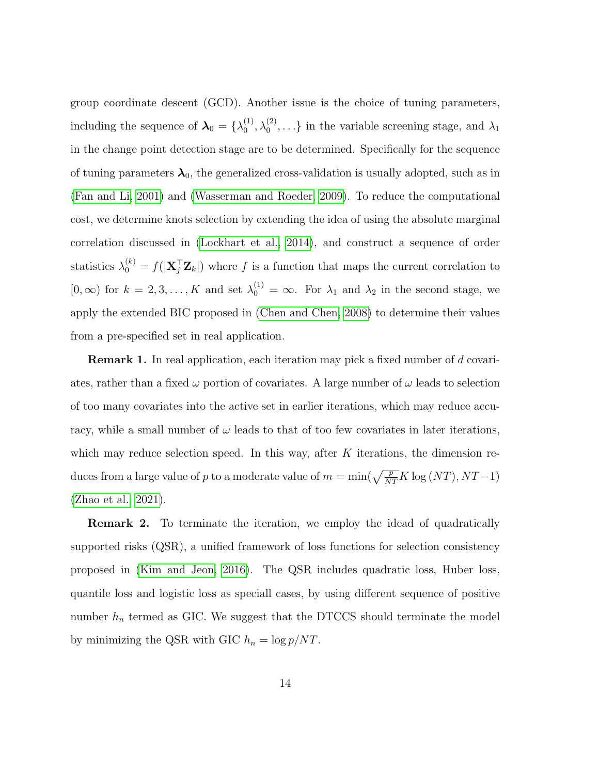group coordinate descent (GCD). Another issue is the choice of tuning parameters, including the sequence of  $\lambda_0 = {\lambda_0^{(1)}}$  $\langle 0^{(1)}, \lambda_0^{(2)}, \ldots \rangle$  in the variable screening stage, and  $\lambda_1$ in the change point detection stage are to be determined. Specifically for the sequence of tuning parameters  $\lambda_0$ , the generalized cross-validation is usually adopted, such as in [\(Fan and Li, 2001\)](#page-21-3) and [\(Wasserman and Roeder, 2009\)](#page-23-9). To reduce the computational cost, we determine knots selection by extending the idea of using the absolute marginal correlation discussed in [\(Lockhart et al., 2014\)](#page-22-7), and construct a sequence of order statistics  $\lambda_0^{(k)} = f(|\mathbf{X}_j^{\top} \mathbf{Z}_k|)$  where f is a function that maps the current correlation to  $[0, \infty)$  for  $k = 2, 3, ..., K$  and set  $\lambda_0^{(1)} = \infty$ . For  $\lambda_1$  and  $\lambda_2$  in the second stage, we apply the extended BIC proposed in [\(Chen and Chen, 2008\)](#page-20-7) to determine their values from a pre-specified set in real application.

**Remark 1.** In real application, each iteration may pick a fixed number of d covariates, rather than a fixed  $\omega$  portion of covariates. A large number of  $\omega$  leads to selection of too many covariates into the active set in earlier iterations, which may reduce accuracy, while a small number of  $\omega$  leads to that of too few covariates in later iterations, which may reduce selection speed. In this way, after  $K$  iterations, the dimension reduces from a large value of p to a moderate value of  $m = \min(\sqrt{\frac{p}{NT}} K \log (NT), NT - 1)$ [\(Zhao et al., 2021\)](#page-24-1).

**Remark 2.** To terminate the iteration, we employ the idead of quadratically supported risks (QSR), a unified framework of loss functions for selection consistency proposed in [\(Kim and Jeon, 2016\)](#page-21-5). The QSR includes quadratic loss, Huber loss, quantile loss and logistic loss as speciall cases, by using different sequence of positive number  $h_n$  termed as GIC. We suggest that the DTCCS should terminate the model by minimizing the QSR with GIC  $h_n = \log p/NT$ .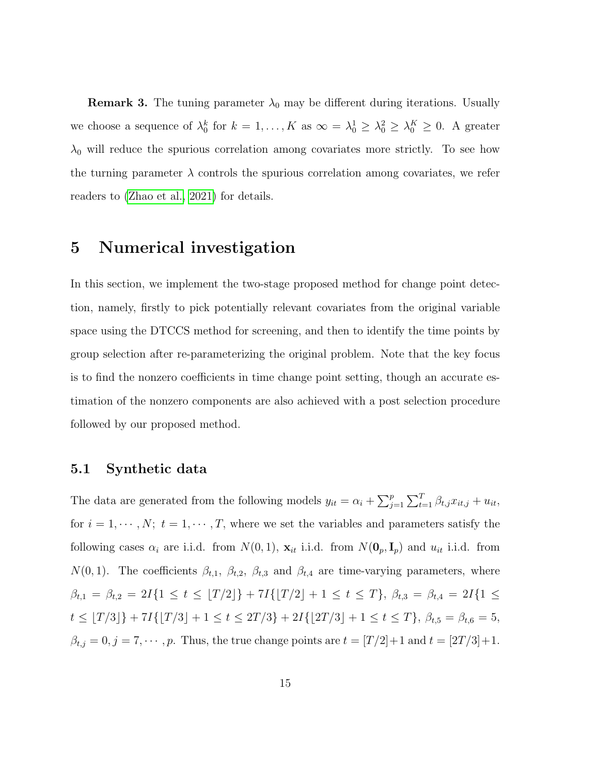**Remark 3.** The tuning parameter  $\lambda_0$  may be different during iterations. Usually we choose a sequence of  $\lambda_0^k$  for  $k = 1, ..., K$  as  $\infty = \lambda_0^1 \geq \lambda_0^2 \geq \lambda_0^K \geq 0$ . A greater  $\lambda_0$  will reduce the spurious correlation among covariates more strictly. To see how the turning parameter  $\lambda$  controls the spurious correlation among covariates, we refer readers to [\(Zhao et al., 2021\)](#page-24-1) for details.

### 5 Numerical investigation

In this section, we implement the two-stage proposed method for change point detection, namely, firstly to pick potentially relevant covariates from the original variable space using the DTCCS method for screening, and then to identify the time points by group selection after re-parameterizing the original problem. Note that the key focus is to find the nonzero coefficients in time change point setting, though an accurate estimation of the nonzero components are also achieved with a post selection procedure followed by our proposed method.

#### 5.1 Synthetic data

The data are generated from the following models  $y_{it} = \alpha_i + \sum_{j=1}^p \sum_{t=1}^T \beta_{t,j} x_{it,j} + u_{it}$ , for  $i = 1, \dots, N$ ;  $t = 1, \dots, T$ , where we set the variables and parameters satisfy the following cases  $\alpha_i$  are i.i.d. from  $N(0, 1)$ ,  $\mathbf{x}_{it}$  i.i.d. from  $N(\mathbf{0}_p, \mathbf{I}_p)$  and  $u_{it}$  i.i.d. from  $N(0, 1)$ . The coefficients  $\beta_{t,1}$ ,  $\beta_{t,2}$ ,  $\beta_{t,3}$  and  $\beta_{t,4}$  are time-varying parameters, where  $\beta_{t,1} = \beta_{t,2} = 2I\{1 \le t \le \lfloor T/2 \rfloor\} + 7I\{\lfloor T/2 \rfloor + 1 \le t \le T\}, \ \beta_{t,3} = \beta_{t,4} = 2I\{1 \le t \le T\}$  $t \leq \lfloor T/3 \rfloor + 7I\{\lfloor T/3 \rfloor + 1 \leq t \leq 2T/3\} + 2I\{\lfloor 2T/3 \rfloor + 1 \leq t \leq T\}, \ \beta_{t,5} = \beta_{t,6} = 5,$  $\beta_{t,j} = 0, j = 7, \cdots, p$ . Thus, the true change points are  $t = [T/2]+1$  and  $t = [2T/3]+1$ .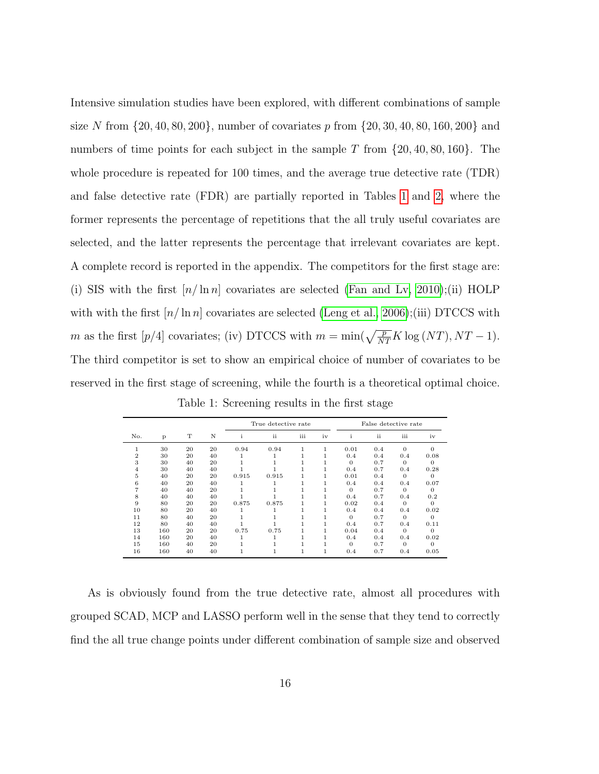Intensive simulation studies have been explored, with different combinations of sample size N from  $\{20, 40, 80, 200\}$ , number of covariates p from  $\{20, 30, 40, 80, 160, 200\}$  and numbers of time points for each subject in the sample T from  $\{20, 40, 80, 160\}$ . The whole procedure is repeated for 100 times, and the average true detective rate (TDR) and false detective rate (FDR) are partially reported in Tables [1](#page-15-0) and [2,](#page-16-0) where the former represents the percentage of repetitions that the all truly useful covariates are selected, and the latter represents the percentage that irrelevant covariates are kept. A complete record is reported in the appendix. The competitors for the first stage are: (i) SIS with the first  $[n/\ln n]$  covariates are selected [\(Fan and Lv, 2010\)](#page-21-6);(ii) HOLP with with the first  $\lfloor n/\ln n \rfloor$  covariates are selected [\(Leng et al., 2006\)](#page-22-6);(iii) DTCCS with m as the first  $[p/4]$  covariates; (iv) DTCCS with  $m = \min(\sqrt{\frac{p}{NT}} K \log (NT), NT - 1)$ . The third competitor is set to show an empirical choice of number of covariates to be reserved in the first stage of screening, while the fourth is a theoretical optimal choice.

|     |     |    |    |       | True detective rate |     |    | False detective rate |     |          |          |  |  |
|-----|-----|----|----|-------|---------------------|-----|----|----------------------|-----|----------|----------|--|--|
| No. | P   | т  | N  | I.    | ii                  | iii | iv | $\mathbf{i}$         | ii  | iii      | iv       |  |  |
| 1   | 30  | 20 | 20 | 0.94  | 0.94                |     | 1  | 0.01                 | 0.4 | $\Omega$ | $\Omega$ |  |  |
| 2   | 30  | 20 | 40 |       |                     |     |    | 0.4                  | 0.4 | 0.4      | 0.08     |  |  |
| 3   | 30  | 40 | 20 |       |                     |     |    | $\Omega$             | 0.7 | $\Omega$ | 0        |  |  |
| 4   | 30  | 40 | 40 |       |                     |     |    | 0.4                  | 0.7 | 0.4      | 0.28     |  |  |
| 5   | 40  | 20 | 20 | 0.915 | 0.915               |     |    | 0.01                 | 0.4 | $\Omega$ | $\theta$ |  |  |
| 6   | 40  | 20 | 40 |       |                     |     |    | 0.4                  | 0.4 | 0.4      | 0.07     |  |  |
|     | 40  | 40 | 20 |       |                     |     |    | $\Omega$             | 0.7 | $\Omega$ | $\Omega$ |  |  |
| 8   | 40  | 40 | 40 |       |                     |     |    | 0.4                  | 0.7 | 0.4      | 0.2      |  |  |
| 9   | 80  | 20 | 20 | 0.875 | 0.875               |     |    | 0.02                 | 0.4 | $\Omega$ | $\Omega$ |  |  |
| 10  | 80  | 20 | 40 |       |                     |     |    | 0.4                  | 0.4 | 0.4      | 0.02     |  |  |
| 11  | 80  | 40 | 20 |       |                     |     |    | $\Omega$             | 0.7 | $\Omega$ | 0        |  |  |
| 12  | 80  | 40 | 40 |       |                     |     |    | 0.4                  | 0.7 | 0.4      | 0.11     |  |  |
| 13  | 160 | 20 | 20 | 0.75  | 0.75                |     | 1  | 0.04                 | 0.4 | $\Omega$ | $\Omega$ |  |  |
| 14  | 160 | 20 | 40 |       |                     |     |    | 0.4                  | 0.4 | 0.4      | 0.02     |  |  |
| 15  | 160 | 40 | 20 |       |                     |     |    | $\Omega$             | 0.7 | $\Omega$ | $\Omega$ |  |  |
| 16  | 160 | 40 | 40 |       |                     |     | 1  | 0.4                  | 0.7 | 0.4      | 0.05     |  |  |

<span id="page-15-0"></span>Table 1: Screening results in the first stage

As is obviously found from the true detective rate, almost all procedures with grouped SCAD, MCP and LASSO perform well in the sense that they tend to correctly find the all true change points under different combination of sample size and observed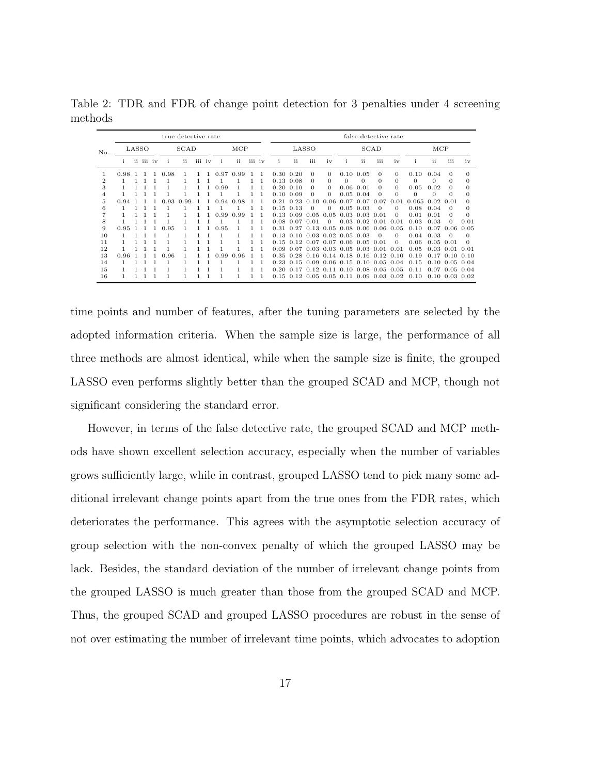<span id="page-16-0"></span>

|                | true detective rate |  |           |      |      |     |        |  |      |      | false detective rate |        |      |                 |          |              |                                    |                      |          |                 |          |          |              |            |
|----------------|---------------------|--|-----------|------|------|-----|--------|--|------|------|----------------------|--------|------|-----------------|----------|--------------|------------------------------------|----------------------|----------|-----------------|----------|----------|--------------|------------|
| No.            | LASSO               |  |           | SCAD |      |     | MCP    |  |      |      |                      | LASSO  |      |                 |          | SCAD         |                                    |                      |          | $_{\text{MCP}}$ |          |          |              |            |
|                | L.                  |  | ii iii iv |      | L.   | ii. | iii iv |  | J.   | ii   |                      | iii iv | 1    | ii              | iii      | iv           |                                    | ii                   | iii      | iv              |          | -ii      | <br>iii      | iv         |
|                | 0.98                |  |           |      | 0.98 |     |        |  | 0.97 | 0.99 |                      |        | 0.30 | 0.20            | $\Omega$ | 0            | 0.10                               | 0.05                 | $\Omega$ | 0               | 0.10     | 0.04     | $\Omega$     | $\Omega$   |
| $\overline{2}$ |                     |  |           |      |      |     |        |  |      |      |                      |        |      | $0.13\ 0.08$    | $\Omega$ | $\Omega$     | $\Omega$                           | $\Omega$             | $\Omega$ | $\Omega$        | $\Omega$ | 0        | $\Omega$     | $\Omega$   |
| 3              |                     |  |           |      |      |     |        |  | .99  |      |                      |        | 0.20 | 0.10            | 0        | $\Omega$     | 0.06                               | 0.01                 | $\Omega$ | $\Omega$        | 0.05     | 0.02     | $\Omega$     | $\Omega$   |
| 4              |                     |  |           |      |      |     |        |  |      |      |                      |        | 0.10 | 0.09            | $\Omega$ | 0            | 0.05                               | 0.04                 | $\Omega$ | $\Omega$        | $\Omega$ | $\Omega$ | $\Omega$     | $\Omega$   |
| 5              | 0.94                |  |           |      | .93  | -99 |        |  | -94  | 0.98 |                      |        | 0.21 |                 | 0.10     | 0.06         | -0.07                              | 0.07                 | 0.07     | 0.01            | 0.065    | 0.02     | 0.01         | $^{\circ}$ |
| 6              |                     |  |           |      |      |     |        |  |      |      |                      |        | 0.15 | 0.13            | $\Omega$ | 0            | 0.05                               | 0.03                 | $\Omega$ | 0               | 0.08     | 0.04     | $\Omega$     | $\Omega$   |
|                |                     |  |           |      |      |     |        |  | .99  | 0.99 |                      |        | 0.13 | .09<br>$\Omega$ | 0.05     | 0.05         | 0.03                               | 0.03                 | 0.01     | $\Omega$        | 0.01     | 0.01     | $\Omega$     | $\Omega$   |
| 8              |                     |  |           |      |      |     |        |  |      |      |                      |        | 0.08 | 0.07            | 0.01     | $\Omega$     | 0.03                               | 0.02                 | -0.01    | 0.01            | 0.03     | 0.03     | $\Omega$     | 0.01       |
| 9              | 0.95                |  |           |      | 0.95 |     |        |  | 0.95 |      |                      |        | 0.31 | 0.27            | 0.13     | 0.05         | 0.08                               | 0.06                 | 0.06     | 0.05            | 0.10     | 0.07     | 0.06         | 0.05       |
| 10             |                     |  |           |      |      |     |        |  |      |      |                      |        |      | $0.13$ $0.10$   | 0.03     | $0.02\ 0.05$ |                                    | 0.03                 | $\Omega$ | 0               | 0.04     | 0.03     |              | 0          |
| 11             |                     |  |           |      |      |     |        |  |      |      |                      |        | 0.15 | 0.12            | 0.07     | 0.07         | 0.06                               | 0.05                 | 0.01     | 0               | 0.06     | 0.05     | 0.01         | $\Omega$   |
| 12             |                     |  |           |      |      |     |        |  |      |      |                      |        | 0.09 | 0.07            | 0.03     | 0.03         | 0.05                               | $0.03$ 0.01          |          | 0.01            | 0.05     | 0.03     | -0.01        | 0.01       |
| 13             | 0.96                |  |           |      | 0.96 |     |        |  | .99  | 0.96 |                      |        |      | $0.35 \ \ 0.28$ | 0.16     | 0.14         | 0.18                               | 0.16                 | 0.12     | 0.10            | 0.19     | 0.17     | 0.10         | 0.10       |
| 14             |                     |  |           |      |      |     |        |  |      |      |                      |        | 0.23 | 0.15            | - 09     | 0.06         | 0.15                               | 0.10                 | 0.05     | 0.04            | 0.15     | 0.10     | 0.05         | 0.04       |
| 15             |                     |  |           |      |      |     |        |  |      |      |                      |        | 0.20 | 0.17            | 0.12     | 0.11         | 0.10                               | 0.08                 | 0.05     | 0.05            | 0.11     | 0.07     | 0.05         | 0.04       |
| 16             |                     |  |           |      |      |     |        |  |      |      |                      |        |      |                 |          |              | $0.15$ $0.12$ $0.05$ $0.05$ $0.11$ | $0.09$ $0.03$ $0.02$ |          |                 | 0.10     |          | $0.10\ 0.03$ | 0.02       |

Table 2: TDR and FDR of change point detection for 3 penalties under 4 screening methods

time points and number of features, after the tuning parameters are selected by the adopted information criteria. When the sample size is large, the performance of all three methods are almost identical, while when the sample size is finite, the grouped LASSO even performs slightly better than the grouped SCAD and MCP, though not significant considering the standard error.

However, in terms of the false detective rate, the grouped SCAD and MCP methods have shown excellent selection accuracy, especially when the number of variables grows sufficiently large, while in contrast, grouped LASSO tend to pick many some additional irrelevant change points apart from the true ones from the FDR rates, which deteriorates the performance. This agrees with the asymptotic selection accuracy of group selection with the non-convex penalty of which the grouped LASSO may be lack. Besides, the standard deviation of the number of irrelevant change points from the grouped LASSO is much greater than those from the grouped SCAD and MCP. Thus, the grouped SCAD and grouped LASSO procedures are robust in the sense of not over estimating the number of irrelevant time points, which advocates to adoption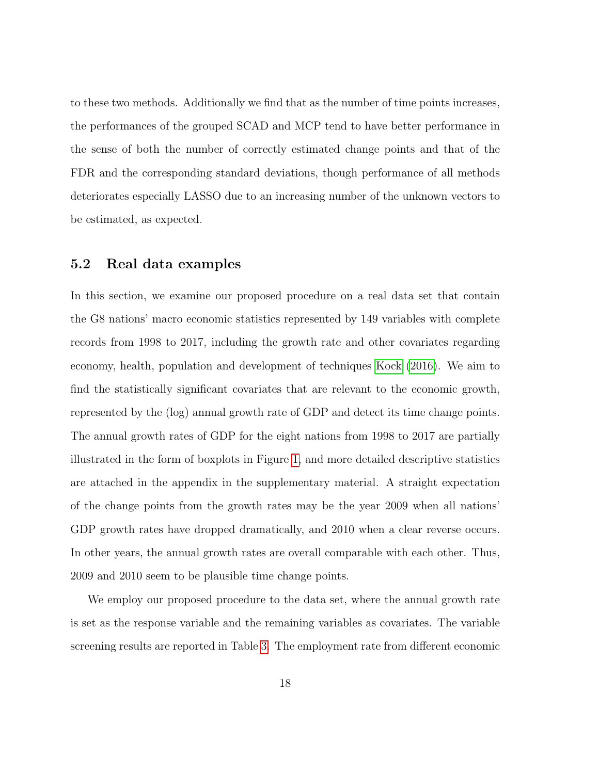to these two methods. Additionally we find that as the number of time points increases, the performances of the grouped SCAD and MCP tend to have better performance in the sense of both the number of correctly estimated change points and that of the FDR and the corresponding standard deviations, though performance of all methods deteriorates especially LASSO due to an increasing number of the unknown vectors to be estimated, as expected.

#### 5.2 Real data examples

In this section, we examine our proposed procedure on a real data set that contain the G8 nations' macro economic statistics represented by 149 variables with complete records from 1998 to 2017, including the growth rate and other covariates regarding economy, health, population and development of techniques [Kock](#page-21-7) [\(2016\)](#page-21-7). We aim to find the statistically significant covariates that are relevant to the economic growth, represented by the (log) annual growth rate of GDP and detect its time change points. The annual growth rates of GDP for the eight nations from 1998 to 2017 are partially illustrated in the form of boxplots in Figure [1,](#page-19-0) and more detailed descriptive statistics are attached in the appendix in the supplementary material. A straight expectation of the change points from the growth rates may be the year 2009 when all nations' GDP growth rates have dropped dramatically, and 2010 when a clear reverse occurs. In other years, the annual growth rates are overall comparable with each other. Thus, 2009 and 2010 seem to be plausible time change points.

We employ our proposed procedure to the data set, where the annual growth rate is set as the response variable and the remaining variables as covariates. The variable screening results are reported in Table [3.](#page-19-1) The employment rate from different economic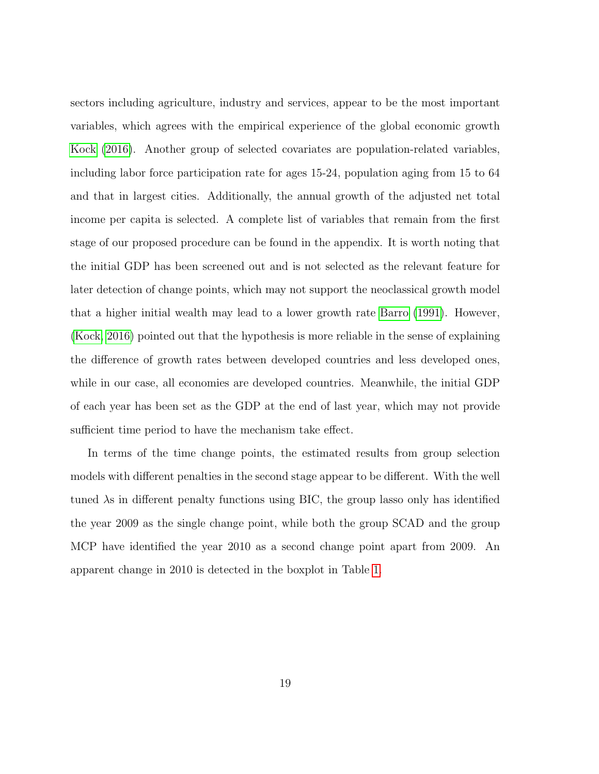sectors including agriculture, industry and services, appear to be the most important variables, which agrees with the empirical experience of the global economic growth [Kock](#page-21-7) [\(2016\)](#page-21-7). Another group of selected covariates are population-related variables, including labor force participation rate for ages 15-24, population aging from 15 to 64 and that in largest cities. Additionally, the annual growth of the adjusted net total income per capita is selected. A complete list of variables that remain from the first stage of our proposed procedure can be found in the appendix. It is worth noting that the initial GDP has been screened out and is not selected as the relevant feature for later detection of change points, which may not support the neoclassical growth model that a higher initial wealth may lead to a lower growth rate [Barro](#page-20-8) [\(1991\)](#page-20-8). However, [\(Kock, 2016\)](#page-21-7) pointed out that the hypothesis is more reliable in the sense of explaining the difference of growth rates between developed countries and less developed ones, while in our case, all economies are developed countries. Meanwhile, the initial GDP of each year has been set as the GDP at the end of last year, which may not provide sufficient time period to have the mechanism take effect.

In terms of the time change points, the estimated results from group selection models with different penalties in the second stage appear to be different. With the well tuned λs in different penalty functions using BIC, the group lasso only has identified the year 2009 as the single change point, while both the group SCAD and the group MCP have identified the year 2010 as a second change point apart from 2009. An apparent change in 2010 is detected in the boxplot in Table [1.](#page-19-0)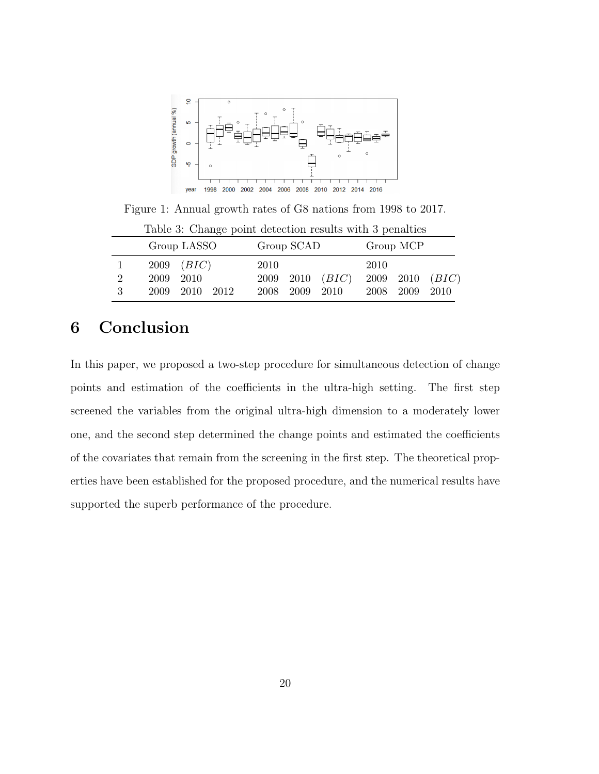

Figure 1: Annual growth rates of G8 nations from 1998 to 2017.

|   | Table 9. Change point acteduous results with a politicies |                |  |      |                |                       |           |                |                       |  |  |  |  |  |
|---|-----------------------------------------------------------|----------------|--|------|----------------|-----------------------|-----------|----------------|-----------------------|--|--|--|--|--|
|   |                                                           | Group LASSO    |  |      | Group SCAD     |                       | Group MCP |                |                       |  |  |  |  |  |
| 1 |                                                           | $2009$ $(BIC)$ |  | 2010 |                |                       | 2010      |                |                       |  |  |  |  |  |
| 2 |                                                           | 2009 2010      |  |      |                | $2009$ $2010$ $(BIC)$ |           |                | $2009$ $2010$ $(BIC)$ |  |  |  |  |  |
| 3 |                                                           | 2009 2010 2012 |  |      | 2008 2009 2010 |                       |           | 2008 2009 2010 |                       |  |  |  |  |  |

<span id="page-19-1"></span><span id="page-19-0"></span>Table 3: Change point detection results with 3 penalties

# 6 Conclusion

In this paper, we proposed a two-step procedure for simultaneous detection of change points and estimation of the coefficients in the ultra-high setting. The first step screened the variables from the original ultra-high dimension to a moderately lower one, and the second step determined the change points and estimated the coefficients of the covariates that remain from the screening in the first step. The theoretical properties have been established for the proposed procedure, and the numerical results have supported the superb performance of the procedure.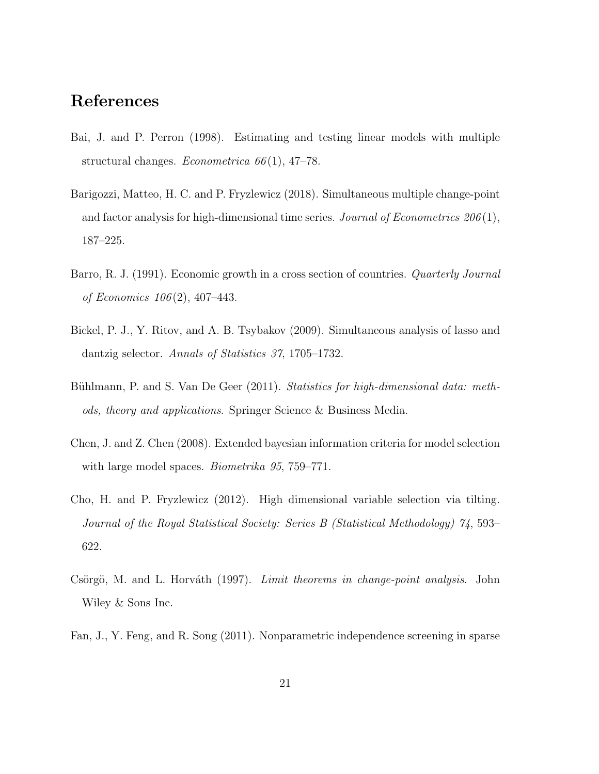## References

- <span id="page-20-1"></span>Bai, J. and P. Perron (1998). Estimating and testing linear models with multiple structural changes. *Econometrica*  $66(1)$ , 47–78.
- <span id="page-20-2"></span>Barigozzi, Matteo, H. C. and P. Fryzlewicz (2018). Simultaneous multiple change-point and factor analysis for high-dimensional time series. Journal of Econometrics  $206(1)$ , 187–225.
- <span id="page-20-8"></span>Barro, R. J. (1991). Economic growth in a cross section of countries. *Quarterly Journal* of Economics 106 (2), 407–443.
- <span id="page-20-6"></span>Bickel, P. J., Y. Ritov, and A. B. Tsybakov (2009). Simultaneous analysis of lasso and dantzig selector. Annals of Statistics 37, 1705–1732.
- <span id="page-20-5"></span>Bühlmann, P. and S. Van De Geer (2011). Statistics for high-dimensional data: methods, theory and applications. Springer Science & Business Media.
- <span id="page-20-7"></span>Chen, J. and Z. Chen (2008). Extended bayesian information criteria for model selection with large model spaces. *Biometrika* 95, 759–771.
- <span id="page-20-4"></span>Cho, H. and P. Fryzlewicz (2012). High dimensional variable selection via tilting. Journal of the Royal Statistical Society: Series B (Statistical Methodology) 74, 593– 622.
- <span id="page-20-0"></span>Csörgö, M. and L. Horváth (1997). Limit theorems in change-point analysis. John Wiley & Sons Inc.
- <span id="page-20-3"></span>Fan, J., Y. Feng, and R. Song (2011). Nonparametric independence screening in sparse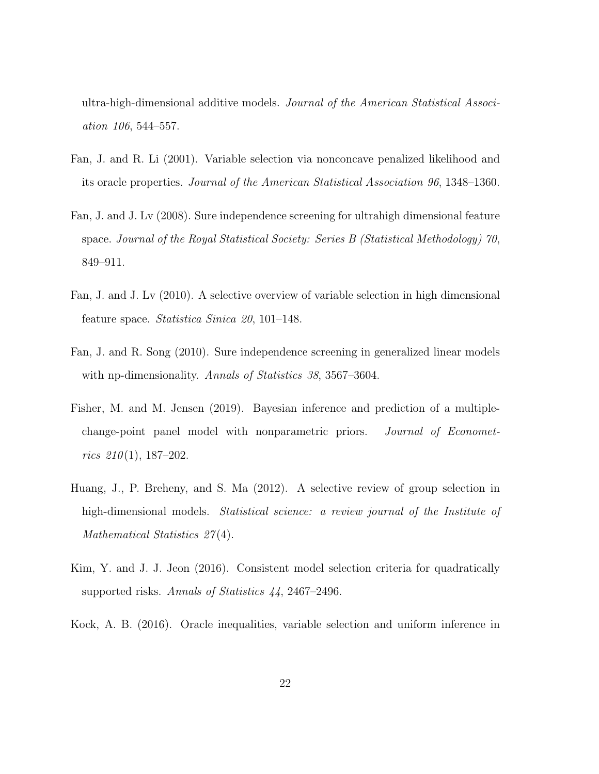ultra-high-dimensional additive models. Journal of the American Statistical Association 106, 544–557.

- <span id="page-21-3"></span>Fan, J. and R. Li (2001). Variable selection via nonconcave penalized likelihood and its oracle properties. Journal of the American Statistical Association 96, 1348–1360.
- <span id="page-21-1"></span>Fan, J. and J. Lv (2008). Sure independence screening for ultrahigh dimensional feature space. Journal of the Royal Statistical Society: Series B (Statistical Methodology) 70, 849–911.
- <span id="page-21-6"></span>Fan, J. and J. Lv (2010). A selective overview of variable selection in high dimensional feature space. Statistica Sinica 20, 101–148.
- <span id="page-21-2"></span>Fan, J. and R. Song (2010). Sure independence screening in generalized linear models with np-dimensionality. Annals of Statistics 38, 3567–3604.
- <span id="page-21-0"></span>Fisher, M. and M. Jensen (2019). Bayesian inference and prediction of a multiplechange-point panel model with nonparametric priors. Journal of Econometrics  $210(1)$ , 187-202.
- <span id="page-21-4"></span>Huang, J., P. Breheny, and S. Ma (2012). A selective review of group selection in high-dimensional models. *Statistical science: a review journal of the Institute of* Mathematical Statistics 27(4).
- <span id="page-21-5"></span>Kim, Y. and J. J. Jeon (2016). Consistent model selection criteria for quadratically supported risks. Annals of Statistics 44, 2467–2496.
- <span id="page-21-7"></span>Kock, A. B. (2016). Oracle inequalities, variable selection and uniform inference in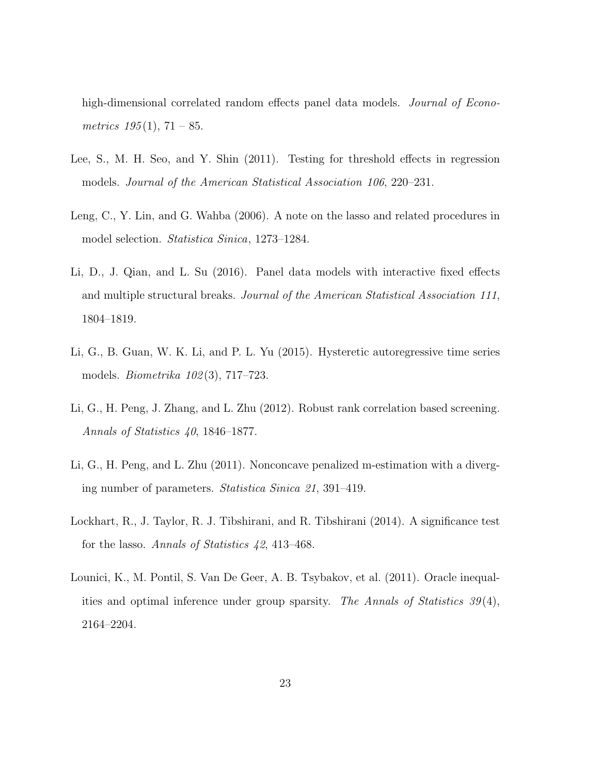high-dimensional correlated random effects panel data models. *Journal of Econo*metrics  $195(1)$ ,  $71-85$ .

- <span id="page-22-0"></span>Lee, S., M. H. Seo, and Y. Shin (2011). Testing for threshold effects in regression models. Journal of the American Statistical Association 106, 220–231.
- <span id="page-22-6"></span>Leng, C., Y. Lin, and G. Wahba (2006). A note on the lasso and related procedures in model selection. Statistica Sinica, 1273–1284.
- <span id="page-22-2"></span>Li, D., J. Qian, and L. Su (2016). Panel data models with interactive fixed effects and multiple structural breaks. Journal of the American Statistical Association 111, 1804–1819.
- <span id="page-22-1"></span>Li, G., B. Guan, W. K. Li, and P. L. Yu (2015). Hysteretic autoregressive time series models. Biometrika 102 (3), 717–723.
- <span id="page-22-4"></span>Li, G., H. Peng, J. Zhang, and L. Zhu (2012). Robust rank correlation based screening. Annals of Statistics 40, 1846–1877.
- <span id="page-22-3"></span>Li, G., H. Peng, and L. Zhu (2011). Nonconcave penalized m-estimation with a diverging number of parameters. Statistica Sinica 21, 391–419.
- <span id="page-22-7"></span>Lockhart, R., J. Taylor, R. J. Tibshirani, and R. Tibshirani (2014). A significance test for the lasso. Annals of Statistics 42, 413–468.
- <span id="page-22-5"></span>Lounici, K., M. Pontil, S. Van De Geer, A. B. Tsybakov, et al. (2011). Oracle inequalities and optimal inference under group sparsity. The Annals of Statistics  $39(4)$ , 2164–2204.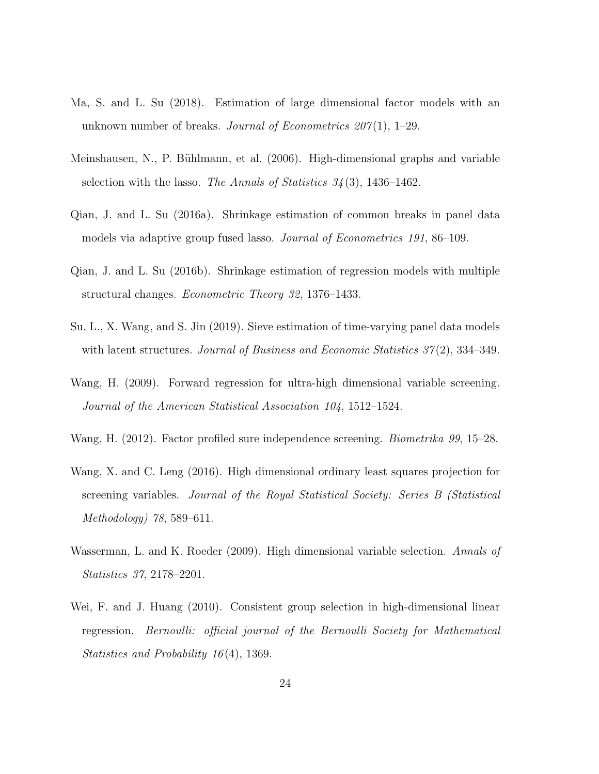- <span id="page-23-2"></span>Ma, S. and L. Su (2018). Estimation of large dimensional factor models with an unknown number of breaks. Journal of Econometrics  $207(1)$ , 1–29.
- <span id="page-23-7"></span>Meinshausen, N., P. Bühlmann, et al. (2006). High-dimensional graphs and variable selection with the lasso. The Annals of Statistics  $34(3)$ , 1436–1462.
- <span id="page-23-0"></span>Qian, J. and L. Su (2016a). Shrinkage estimation of common breaks in panel data models via adaptive group fused lasso. Journal of Econometrics 191, 86–109.
- <span id="page-23-1"></span>Qian, J. and L. Su (2016b). Shrinkage estimation of regression models with multiple structural changes. Econometric Theory 32, 1376–1433.
- <span id="page-23-3"></span>Su, L., X. Wang, and S. Jin (2019). Sieve estimation of time-varying panel data models with latent structures. Journal of Business and Economic Statistics  $37(2)$ , 334–349.
- <span id="page-23-4"></span>Wang, H. (2009). Forward regression for ultra-high dimensional variable screening. Journal of the American Statistical Association 104, 1512–1524.
- <span id="page-23-5"></span>Wang, H. (2012). Factor profiled sure independence screening. Biometrika 99, 15–28.
- <span id="page-23-6"></span>Wang, X. and C. Leng (2016). High dimensional ordinary least squares projection for screening variables. Journal of the Royal Statistical Society: Series B (Statistical Methodology) 78, 589–611.
- <span id="page-23-9"></span>Wasserman, L. and K. Roeder (2009). High dimensional variable selection. Annals of Statistics 37, 2178–2201.
- <span id="page-23-8"></span>Wei, F. and J. Huang (2010). Consistent group selection in high-dimensional linear regression. Bernoulli: official journal of the Bernoulli Society for Mathematical Statistics and Probability 16 (4), 1369.